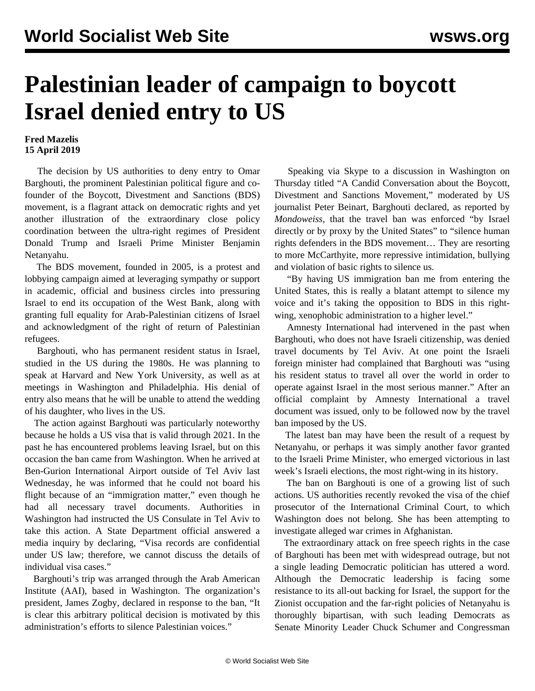## **Palestinian leader of campaign to boycott Israel denied entry to US**

## **Fred Mazelis 15 April 2019**

 The decision by US authorities to deny entry to Omar Barghouti, the prominent Palestinian political figure and cofounder of the Boycott, Divestment and Sanctions (BDS) movement, is a flagrant attack on democratic rights and yet another illustration of the extraordinary close policy coordination between the ultra-right regimes of President Donald Trump and Israeli Prime Minister Benjamin Netanyahu.

 The BDS movement, founded in 2005, is a protest and lobbying campaign aimed at leveraging sympathy or support in academic, official and business circles into pressuring Israel to end its occupation of the West Bank, along with granting full equality for Arab-Palestinian citizens of Israel and acknowledgment of the right of return of Palestinian refugees.

 Barghouti, who has permanent resident status in Israel, studied in the US during the 1980s. He was planning to speak at Harvard and New York University, as well as at meetings in Washington and Philadelphia. His denial of entry also means that he will be unable to attend the wedding of his daughter, who lives in the US.

 The action against Barghouti was particularly noteworthy because he holds a US visa that is valid through 2021. In the past he has encountered problems leaving Israel, but on this occasion the ban came from Washington. When he arrived at Ben-Gurion International Airport outside of Tel Aviv last Wednesday, he was informed that he could not board his flight because of an "immigration matter," even though he had all necessary travel documents. Authorities in Washington had instructed the US Consulate in Tel Aviv to take this action. A State Department official answered a media inquiry by declaring, "Visa records are confidential under US law; therefore, we cannot discuss the details of individual visa cases."

 Barghouti's trip was arranged through the Arab American Institute (AAI), based in Washington. The organization's president, James Zogby, declared in response to the ban, "It is clear this arbitrary political decision is motivated by this administration's efforts to silence Palestinian voices."

 Speaking via Skype to a discussion in Washington on Thursday titled "A Candid Conversation about the Boycott, Divestment and Sanctions Movement," moderated by US journalist Peter Beinart, Barghouti declared, as reported by *Mondoweiss*, that the travel ban was enforced "by Israel directly or by proxy by the United States" to "silence human rights defenders in the BDS movement… They are resorting to more McCarthyite, more repressive intimidation, bullying and violation of basic rights to silence us.

 "By having US immigration ban me from entering the United States, this is really a blatant attempt to silence my voice and it's taking the opposition to BDS in this rightwing, xenophobic administration to a higher level."

 Amnesty International had intervened in the past when Barghouti, who does not have Israeli citizenship, was denied travel documents by Tel Aviv. At one point the Israeli foreign minister had complained that Barghouti was "using his resident status to travel all over the world in order to operate against Israel in the most serious manner." After an official complaint by Amnesty International a travel document was issued, only to be followed now by the travel ban imposed by the US.

 The latest ban may have been the result of a request by Netanyahu, or perhaps it was simply another favor granted to the Israeli Prime Minister, who emerged victorious in last week's Israeli elections, the most right-wing in its history.

 The ban on Barghouti is one of a growing list of such actions. US authorities recently revoked the visa of the chief prosecutor of the International Criminal Court, to which Washington does not belong. She has been attempting to investigate alleged war crimes in Afghanistan.

 The extraordinary attack on free speech rights in the case of Barghouti has been met with widespread outrage, but not a single leading Democratic politician has uttered a word. Although the Democratic leadership is facing some resistance to its all-out backing for Israel, the support for the Zionist occupation and the far-right policies of Netanyahu is thoroughly bipartisan, with such leading Democrats as Senate Minority Leader Chuck Schumer and Congressman